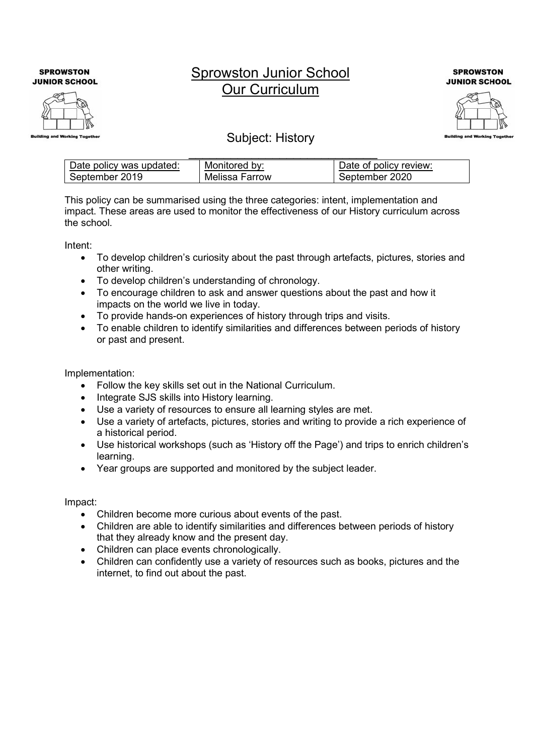**SPROWSTON JUNIOR SCHOOL** 



## Sprowston Junior School Our Curriculum

**SPROWSTON JUNIOR SCHOOL** 



## Subject: History

| Date policy was updated: | Monitored by:  | Date of policy review: |
|--------------------------|----------------|------------------------|
| September 2019           | Melissa Farrow | September 2020         |

This policy can be summarised using the three categories: intent, implementation and impact. These areas are used to monitor the effectiveness of our History curriculum across the school.

Intent:

- To develop children's curiosity about the past through artefacts, pictures, stories and other writing.
- To develop children's understanding of chronology.
- To encourage children to ask and answer questions about the past and how it impacts on the world we live in today.
- To provide hands-on experiences of history through trips and visits.
- To enable children to identify similarities and differences between periods of history or past and present.

Implementation:

- Follow the key skills set out in the National Curriculum.
- Integrate SJS skills into History learning.
- Use a variety of resources to ensure all learning styles are met.
- Use a variety of artefacts, pictures, stories and writing to provide a rich experience of a historical period.
- Use historical workshops (such as 'History off the Page') and trips to enrich children's learning.
- Year groups are supported and monitored by the subject leader.

Impact:

- Children become more curious about events of the past.
- Children are able to identify similarities and differences between periods of history that they already know and the present day.
- Children can place events chronologically.
- Children can confidently use a variety of resources such as books, pictures and the internet, to find out about the past.